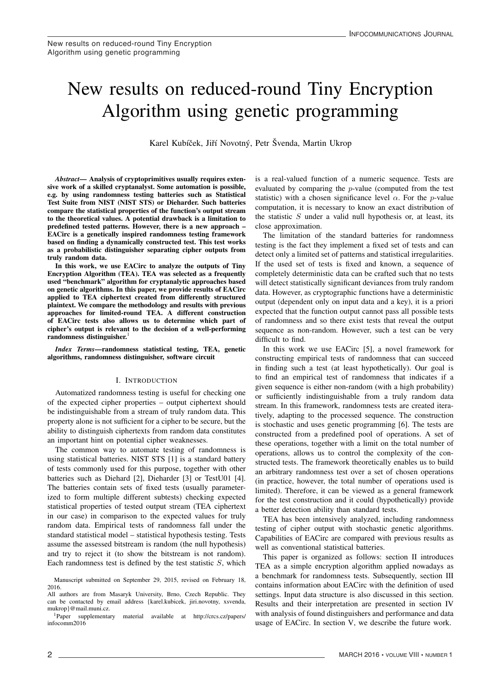# New results on reduced-round Tiny Encryption New results on reduced-round Tiny Encryption New results on reduced-round Tiny Encryption Algorithm using genetic programming Algorithm using genetic programming Algorithm using genetic programming

Karel Kubíček, Jiří Novotný, Petr Švenda, Martin Ukrop

*Abstract*— Analysis of cryptoprimitives usually requires exten-sive work of a skilled cryptanalyst. Some automation is possible, sive work of a skilled cryptanalyst. Some automation is possible, sive work of a skilled cryptanalyst. Some automation is possible, e.g. by using randomness testing batteries such as Statistical e.g. by using randomness testing batteries such as Statistical e.g. by using randomness testing batteries such as Statistical Test Suite from NIST (NIST STS) or Dieharder. Such batteries Test Suite from NIST (NIST STS) or Dieharder. Such batteries Test Suite from NIST (NIST STS) or Dieharder. Such batteries compare the statistical properties of the function's output stream compare the statistical properties of the function's output stream compare the statistical properties of the function's output stream to the theoretical values. A potential drawback is a limitation to to the theoretical values. A potential drawback is a limitation to to the theoretical values. A potential drawback is a limitation to predefined tested patterns. However, there is a new approach – predefined tested patterns. However, there is a new approach – predefined tested patterns. However, there is a new approach – EACirc is a genetically inspired randomness testing framework EACirc is a genetically inspired randomness testing framework EACirc is a genetically inspired randomness testing framework based on finding a dynamically constructed test. This test works based on finding a dynamically constructed test. This test works based on midnig a dynamically constructed test. This test works as a probabilistic distinguisher separating cipher outputs from as a probabilistic distinguisher separating cipher outputs from as a probabilistic distinguisher separating cipher outputs from *Abstract*— Analysis of cryptoprimitives usually requires exten-*Abstract*— Analysis of cryptoprimitives usually requires extentruly random data. truly random data.

truly random data. In this work, we use EACirc to analyze the outputs of Tiny In this work, we use EACirc to analyze the outputs of Tiny In this work, we use EACirc to analyze the outputs of Tiny Encryption Algorithm (TEA). TEA was selected as a frequently Encryption Algorithm (TEA). TEA was selected as a frequently Encryption Algorithm (TEA). TEA was selected as a frequently used "benchmark" algorithm for cryptanalytic approaches based used "benchmark" algorithm for cryptanalytic approaches based used "benchmark" algorithm for cryptanalytic approaches based on genetic algorithms. In this paper, we provide results of EACirc on genetic algorithms. In this paper, we provide results of EACirc on genetic algorithms. In this paper, we provide results of EACirc applied to TEA ciphertext created from differently structured applied to TEA ciphertext created from differently structured applied to TEA ciphertext created from differently structured plaintext. We compare the methodology and results with previous plaintext. We compare the methodology and results with previous plaintext. We compare the methodology and results with previous approaches for limited-round TEA. A different construction approaches for limited-round TEA. A different construction approaches for limited-round TEA. A different construction of EACirc tests also allows us to determine which part of of EACirc tests also allows us to determine which part of of EACIR tests also allows us to determine which part of<br>cinher's output is relevent to the decision of a well performine cipher's output is relevant to the decision of a well-performing<br>rendomness distinguisher randomness distinguisher.<sup>1</sup>

*Index Terms*—randomness statistical testing, TEA, genetic algorithms, randomness distinguisher, software circuit algorithms, randomness distinguisher, software circuit algorithms, randomness distinguisher, software circuit *Index Terms*—randomness statistical testing, TEA, genetic *Index Terms*—randomness statistical testing, TEA, genetic

# I. INTRODUCTION I. INTRODUCTION I. INTRODUCTION

Automatized randomness testing is useful for checking one Automatized randomness testing is useful for checking one Automatized randomness testing is useful for checking one of the expected cipher properties – output ciphertext should of the expected cipher properties – output ciphertext should of the expected cipher properties – output ciphertext should be indistinguishable from a stream of truly random data. This property alone is not sufficient for a cipher to be secure, but the property alone is not sufficient for a cipher to be secure, but the property alone is not sufficient for a cipher to be secure, but the ability to distinguish ciphertexts from random data constitutes ability to distinguish ciphertexts from random data constitutes ability to distinguish ciphertexts from random data constitutes an important hint on potential cipher weaknesses. an important hint on potential cipher weaknesses. an important hint on potential cipher weaknesses. be indistinguishable from a stream of truly random data. This be indistinguishable from a stream of truly random data. This

The common way to automate testing of randomness is The common way to automate testing of randomness is The common way to automate testing of randomness is using statistical batteries. NIST STS [1] is a standard battery using statistical batteries. NIST STS [1] is a standard battery using statistical batteries. NIST STS [1] is a standard battery of tests commonly used for this purpose, together with other of tests commonly used for this purpose, together with other of tests commonly used for this purpose, together with other batteries such as Diehard [2], Dieharder [3] or TestU01 [4]. The batteries contain sets of fixed tests (usually parameter-The batteries contain sets of fixed tests (usually parameter-The batteries contain sets of fixed tests (usually parameterized to form multiple different subtests) checking expected ized to form multiple different subtests) checking expected ized to form multiple different subtests) checking expected statistical properties of tested output stream (TEA ciphertext in our case) in comparison to the expected values for truly random data. Empirical tests of randomness fall under the random data. Empirical tests of randomness fall under the random data. Empirical tests of randomness fall under the standard statistical model – statistical hypothesis testing. Tests standard statistical model – statistical hypothesis testing. Tests standard statistical model – statistical hypothesis testing. Tests assume the assessed bitstream is random (the null hypothesis) assume the assessed bitstream is random (the null hypothesis) assume the assessed bitstream is random (the null hypothesis) and try to reject it (to show the bitstream is not random). Each randomness test is defined by the test statistic  $S$ , which statistical properties of tested output stream (TEA ciphertext statistical properties of tested output stream (TEA ciphertext and try to reject it (to show the bitstream is not random). and try to reject it (to show the bitstream is not random). is a real-valued function of a numeric sequence. Tests are is a real-valued function of a numeric sequence. Tests are is a real-valued function of a numeric sequence. Tests are **Evaluated** by comparing the *p*-value (computed from the test statistic) with a chosen significance level  $\alpha$ . For the *p*-value statistic) with a chosen significance level  $\alpha$ . For the p-value computation, it is necessary to know an exact distribution of the statistic  $S$  under a valid null hypothesis or, at least, its<br>the statistic statistic close approximation. close approximation. close approximation. evaluated by comparing the p-value (computed from the test

The limitation of the standard batteries for randomness testing is the fact they implement a fixed set of tests and can detect only a limited set of patterns and statistical irregularities. detect only a limited set of patterns and statistical irregularities. detect only a limited set of patterns and statistical irregularities. If the used set of tests is fixed and known, a sequence of If the used set of tests is fixed and known, a sequence of If the used set of tests is fixed and known, a sequence of completely deterministic data can be crafted such that no tests completely deterministic data can be crafted such that no tests completely deterministic data can be crafted such that no tests will detect statistically significant deviances from truly random data. However, as cryptographic functions have a deterministic data. However, as cryptographic functions have a deterministic data. However, as cryptographic functions have a deterministic output (dependent only on input data and a key), it is a priori output (dependent only on input data and a key), it is a priori output (dependent only on input data and a key), it is a priori expected that the function output cannot pass all possible tests expected that the function output cannot pass all possible tests expected that the function output cannot pass all possible tests of randomness and so there exist tests that reveal the output sequence as non-random. However, such a test can be very difficult to find. will detect statistically significant deviances from truly random will detect statistically significant deviances from truly random

In this work we use EACirc [5], a novel framework for constructing empirical tests of randomness that can succeed constructing empirical tests of randomness that can succeed constructing empirical tests of randomness that can succeed in finding such a test (at least hypothetically). Our goal is in finding such a test (at least hypothetically). Our goal is in finding such a test (at least hypothetically). Our goal is to find an empirical test of randomness that indicates if a given sequence is either non-random (with a high probability) or sufficiently indistinguishable from a truly random data or sufficiently indistinguishable from a truly random data or sufficiently indistinguishable from a truly random data stream. In this framework, randomness tests are created itera-stream. In this framework, randomness tests are created itera-stream. In this framework, randomness tests are created iteratively, adapting to the processed sequence. The construction tively, adapting to the processed sequence. The construction tively, adapting to the processed sequence. The construction is stochastic and uses genetic programming [6]. The tests are is stochastic and uses genetic programming [6]. The tests are is stochastic and uses genetic programming [6]. The tests are constructed from a predefined pool of operations. A set of these operations, together with a limit on the total number of these operations, together with a limit on the total number of these operations, together with a limit on the total number of operations, allows us to control the complexity of the constructed tests. The framework theoretically enables us to build structed tests. The framework theoretically enables us to build structed tests. The framework theoretically enables us to build an arbitrary randomness test over a set of chosen operations (in practice, however, the total number of operations used is (in practice, however, the total number of operations used is (in practice, however, the total number of operations used is limited). Therefore, it can be viewed as a general framework for the test construction and it could (hypothetically) provide for the test construction and it could (hypothetically) provide for the test construction and it could (hypothetically) provide a better detection ability than standard tests. a better detection ability than standard tests. a better detection ability than standard tests. given sequence is either non-random (with a high probability) given sequence is either non-random (with a high probability) an arbitrary randomness test over a set of chosen operations an arbitrary randomness test over a set of chosen operations

TEA has been intensively analyzed, including randomness TEA has been intensively analyzed, including randomness TEA has been intensively analyzed, including randomness testing of cipher output with stochastic genetic algorithms. Capabilities of EACirc are compared with previous results as Capabilities of EACirc are compared with previous results as Capabilities of EACirc are compared with previous results as well as conventional statistical batteries.

This paper is organized as follows: section II introduces This paper is organized as follows: section II introduces This paper is organized as follows: section II introduces TEA as a simple encryption algorithm applied nowadays as a benchmark for randomness tests. Subsequently, section III a benchmark for randomness tests. Subsequently, section III a benchmark for randomness tests. Subsequently, section III contains information about EACirc with the definition of used contains information about EACirc with the definition of used contains information about EACirc with the definition of used settings. Input data structure is also discussed in this section. Results and their interpretation are presented in section IV Results and their interpretation are presented in section IV Results and their interpretation are presented in section IV with analysis of found distinguishers and performance and data usage of EACirc. In section V, we describe the future work. usage of EACirc. In section V, we describe the future work. usage of EACirc. In section V, we describe the future work.TEA as a simple encryption algorithm applied nowadays as TEA as a simple encryption algorithm applied nowadays as

Manuscript submitted on September 29, 2015, revised on February 18, Manuscript submitted on September 29, 2015, revised on February 18, Manuscript submitted on September 29, 2015, revised on February 18, 2016. 2016.

<sup>2016.</sup> All authors are from Masaryk University, Brno, Czech Republic. They All authors are from Masaryk University, Brno, Czech Republic. They All authors are from Masaryk University, Brno, Czech Republic. They can be contacted by email address {karel.kubicek, jiri.novotny, xsvenda, can be contacted by email address {karel.kubicek, jiri.novotny, xsvenda, can be contacted by email address {karel.kubicek, jiri.novotny, xsvenda,  $\ln m$  = mail.muni.cz. mukrop}@mail.muni.cz.

<sup>1</sup>Paper supplementary material available at http://crcs.cz/papers/ 1Paper supplementary material available at http://crcs.cz/papers/ 1Paper supplementary material available at http://crcs.cz/papers/ infocomm2016 infocomm2016 infocomm2016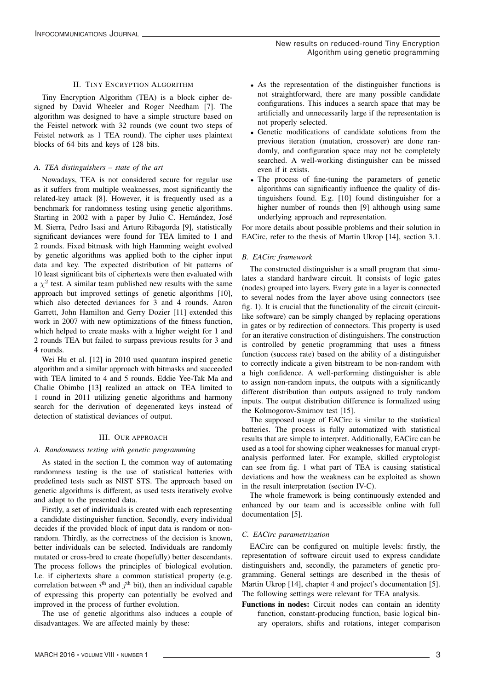# II. TINY ENCRYPTION ALGORITHM

Tiny Encryption Algorithm (TEA) is a block cipher designed by David Wheeler and Roger Needham [7]. The algorithm was designed to have a simple structure based on the Feistel network with 32 rounds (we count two steps of Feistel network as 1 TEA round). The cipher uses plaintext blocks of 64 bits and keys of 128 bits.

# *A. TEA distinguishers – state of the art*

Nowadays, TEA is not considered secure for regular use as it suffers from multiple weaknesses, most significantly the related-key attack [8]. However, it is frequently used as a benchmark for randomness testing using genetic algorithms. Starting in 2002 with a paper by Julio C. Hernández, José M. Sierra, Pedro Isasi and Arturo Ribagorda [9], statistically significant deviances were found for TEA limited to 1 and 2 rounds. Fixed bitmask with high Hamming weight evolved by genetic algorithms was applied both to the cipher input data and key. The expected distribution of bit patterns of 10 least significant bits of ciphertexts were then evaluated with a  $\chi^2$  test. A similar team published new results with the same approach but improved settings of genetic algorithms [10], which also detected deviances for 3 and 4 rounds. Aaron Garrett, John Hamilton and Gerry Dozier [11] extended this work in 2007 with new optimizations of the fitness function, which helped to create masks with a higher weight for 1 and 2 rounds TEA but failed to surpass previous results for 3 and 4 rounds.

Wei Hu et al. [12] in 2010 used quantum inspired genetic algorithm and a similar approach with bitmasks and succeeded with TEA limited to 4 and 5 rounds. Eddie Yee-Tak Ma and Chalie Obimbo [13] realized an attack on TEA limited to 1 round in 2011 utilizing genetic algorithms and harmony search for the derivation of degenerated keys instead of detection of statistical deviances of output.

# III. OUR APPROACH

# *A. Randomness testing with genetic programming*

As stated in the section I, the common way of automating randomness testing is the use of statistical batteries with predefined tests such as NIST STS. The approach based on genetic algorithms is different, as used tests iteratively evolve and adapt to the presented data.

Firstly, a set of individuals is created with each representing a candidate distinguisher function. Secondly, every individual decides if the provided block of input data is random or nonrandom. Thirdly, as the correctness of the decision is known, better individuals can be selected. Individuals are randomly mutated or cross-bred to create (hopefully) better descendants. The process follows the principles of biological evolution. I.e. if ciphertexts share a common statistical property (e.g. correlation between  $i^{\text{th}}$  and  $j^{\text{th}}$  bit), then an individual capable of expressing this property can potentially be evolved and improved in the process of further evolution.

The use of genetic algorithms also induces a couple of disadvantages. We are affected mainly by these:

- As the representation of the distinguisher functions is not straightforward, there are many possible candidate configurations. This induces a search space that may be artificially and unnecessarily large if the representation is not properly selected.
- Genetic modifications of candidate solutions from the previous iteration (mutation, crossover) are done randomly, and configuration space may not be completely searched. A well-working distinguisher can be missed even if it exists.
- The process of fine-tuning the parameters of genetic algorithms can significantly influence the quality of distinguishers found. E.g. [10] found distinguisher for a higher number of rounds then [9] although using same underlying approach and representation.

For more details about possible problems and their solution in EACirc, refer to the thesis of Martin Ukrop [14], section 3.1.

# *B. EACirc framework*

The constructed distinguisher is a small program that simulates a standard hardware circuit. It consists of logic gates (nodes) grouped into layers. Every gate in a layer is connected to several nodes from the layer above using connectors (see fig. 1). It is crucial that the functionality of the circuit (circuitlike software) can be simply changed by replacing operations in gates or by redirection of connectors. This property is used for an iterative construction of distinguishers. The construction is controlled by genetic programming that uses a fitness function (success rate) based on the ability of a distinguisher to correctly indicate a given bitstream to be non-random with a high confidence. A well-performing distinguisher is able to assign non-random inputs, the outputs with a significantly different distribution than outputs assigned to truly random inputs. The output distribution difference is formalized using the Kolmogorov-Smirnov test [15].

The supposed usage of EACirc is similar to the statistical batteries. The process is fully automatized with statistical results that are simple to interpret. Additionally, EACirc can be used as a tool for showing cipher weaknesses for manual cryptanalysis performed later. For example, skilled cryptologist can see from fig. 1 what part of TEA is causing statistical deviations and how the weakness can be exploited as shown in the result interpretation (section IV-C).

The whole framework is being continuously extended and enhanced by our team and is accessible online with full documentation [5].

# *C. EACirc parametrization*

EACirc can be configured on multiple levels: firstly, the representation of software circuit used to express candidate distinguishers and, secondly, the parameters of genetic programming. General settings are described in the thesis of Martin Ukrop [14], chapter 4 and project's documentation [5]. The following settings were relevant for TEA analysis.

Functions in nodes: Circuit nodes can contain an identity function, constant-producing function, basic logical binary operators, shifts and rotations, integer comparison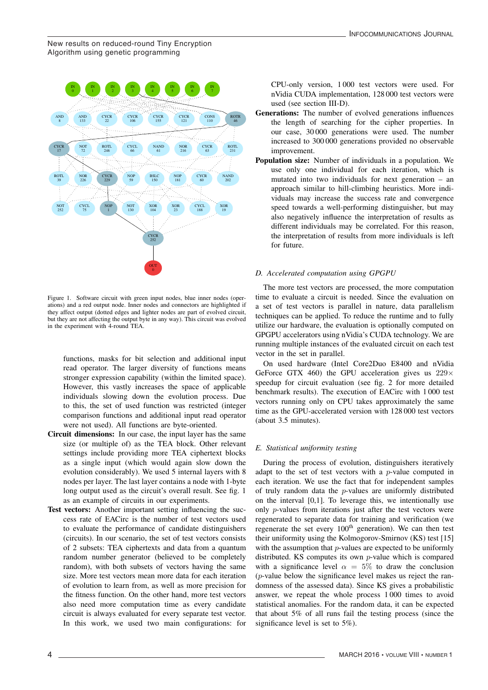New results on reduced-round Tiny Encryption Algorithm using genetic programming



Figure 1. Software circuit with green input nodes, blue inner nodes (operations) and a red output node. Inner nodes and connectors are highlighted if they affect output (dotted edges and lighter nodes are part of evolved circuit, but they are not affecting the output byte in any way). This circuit was evolved in the experiment with 4-round TEA.

functions, masks for bit selection and additional input read operator. The larger diversity of functions means stronger expression capability (within the limited space). However, this vastly increases the space of applicable individuals slowing down the evolution process. Due to this, the set of used function was restricted (integer comparison functions and additional input read operator were not used). All functions are byte-oriented.

- Circuit dimensions: In our case, the input layer has the same size (or multiple of) as the TEA block. Other relevant settings include providing more TEA ciphertext blocks as a single input (which would again slow down the evolution considerably). We used 5 internal layers with 8 nodes per layer. The last layer contains a node with 1-byte long output used as the circuit's overall result. See fig. 1 as an example of circuits in our experiments.
- Test vectors: Another important setting influencing the success rate of EACirc is the number of test vectors used to evaluate the performance of candidate distinguishers (circuits). In our scenario, the set of test vectors consists of 2 subsets: TEA ciphertexts and data from a quantum random number generator (believed to be completely random), with both subsets of vectors having the same size. More test vectors mean more data for each iteration of evolution to learn from, as well as more precision for the fitness function. On the other hand, more test vectors also need more computation time as every candidate circuit is always evaluated for every separate test vector. In this work, we used two main configurations: for

CPU-only version, 1 000 test vectors were used. For nVidia CUDA implementation, 128 000 test vectors were used (see section III-D).

- Generations: The number of evolved generations influences the length of searching for the cipher properties. In our case, 30 000 generations were used. The number increased to 300 000 generations provided no observable improvement.
- Population size: Number of individuals in a population. We use only one individual for each iteration, which is mutated into two individuals for next generation – an approach similar to hill-climbing heuristics. More individuals may increase the success rate and convergence speed towards a well-performing distinguisher, but may also negatively influence the interpretation of results as different individuals may be correlated. For this reason, the interpretation of results from more individuals is left for future.

# *D. Accelerated computation using GPGPU*

The more test vectors are processed, the more computation time to evaluate a circuit is needed. Since the evaluation on a set of test vectors is parallel in nature, data parallelism techniques can be applied. To reduce the runtime and to fully utilize our hardware, the evaluation is optionally computed on GPGPU accelerators using nVidia's CUDA technology. We are running multiple instances of the evaluated circuit on each test vector in the set in parallel.

On used hardware (Intel Core2Duo E8400 and nVidia GeForce GTX 460) the GPU acceleration gives us  $229 \times$ speedup for circuit evaluation (see fig. 2 for more detailed benchmark results). The execution of EACirc with 1 000 test vectors running only on CPU takes approximately the same time as the GPU-accelerated version with 128 000 test vectors (about 3.5 minutes).

# *E. Statistical uniformity testing*

During the process of evolution, distinguishers iteratively adapt to the set of test vectors with a  $p$ -value computed in each iteration. We use the fact that for independent samples of truly random data the  $p$ -values are uniformly distributed on the interval [0,1]. To leverage this, we intentionally use only *p*-values from iterations just after the test vectors were regenerated to separate data for training and verification (we regenerate the set every 100<sup>th</sup> generation). We can then test their uniformity using the Kolmogorov-Smirnov (KS) test [15] with the assumption that  $p$ -values are expected to be uniformly distributed. KS computes its own  $p$ -value which is compared with a significance level  $\alpha = 5\%$  to draw the conclusion (p-value below the significance level makes us reject the randomness of the assessed data). Since KS gives a probabilistic answer, we repeat the whole process 1 000 times to avoid statistical anomalies. For the random data, it can be expected that about 5% of all runs fail the testing process (since the significance level is set to 5%).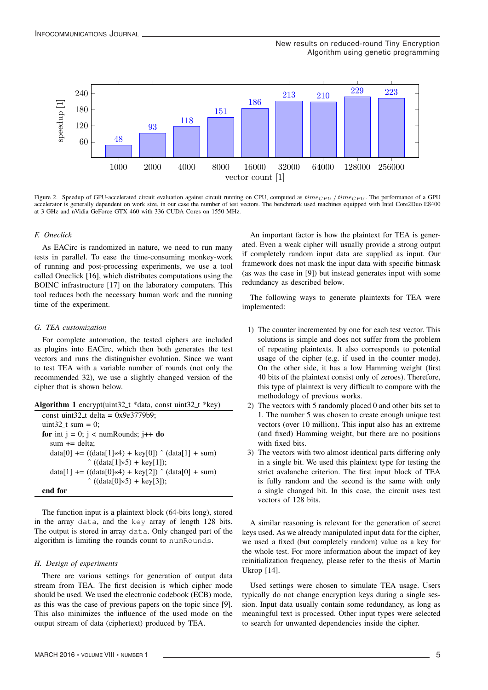

Figure 2. Speedup of GPU-accelerated circuit evaluation against circuit running on CPU, computed as  $time_{CPU} / time_{GPU}$ . The performance of a GPU accelerator is generally dependent on work size, in our case the number of test vectors. The benchmark used machines equipped with Intel Core2Duo E8400 at 3 GHz and nVidia GeForce GTX 460 with 336 CUDA Cores on 1550 MHz.

# *F. Oneclick*

As EACirc is randomized in nature, we need to run many tests in parallel. To ease the time-consuming monkey-work of running and post-processing experiments, we use a tool called Oneclick [16], which distributes computations using the BOINC infrastructure [17] on the laboratory computers. This tool reduces both the necessary human work and the running time of the experiment.

# *G. TEA customization*

For complete automation, the tested ciphers are included as plugins into EACirc, which then both generates the test vectors and runs the distinguisher evolution. Since we want to test TEA with a variable number of rounds (not only the recommended 32), we use a slightly changed version of the cipher that is shown below.

| Algorithm 1 encrypt(uint32_t *data, const uint32_t *key)       |
|----------------------------------------------------------------|
| const uint32_t delta = $0x9e3779b9$ ;                          |
| uint32 <sub>-t</sub> sum = 0;                                  |
| for int $j = 0$ ; $j <$ numRounds; $j++$ do                    |
| sum $+=$ delta;                                                |
| $data[0] += ((data[1]*4) + key[0]) \hat{ } (data[1] + sum)$    |
| $\hat{ }$ ((data[1] $\gg$ 5) + key[1]);                        |
| $data[1] += ((data[0] \ll 4) + key[2]) \hat{} (data[0] + sum)$ |
| $^{\circ}$ ((data[0]»5) + key[3]);                             |
| end for                                                        |

The function input is a plaintext block (64-bits long), stored in the array data, and the key array of length 128 bits. The output is stored in array data. Only changed part of the algorithm is limiting the rounds count to numRounds.

#### *H. Design of experiments*

There are various settings for generation of output data stream from TEA. The first decision is which cipher mode should be used. We used the electronic codebook (ECB) mode, as this was the case of previous papers on the topic since [9]. This also minimizes the influence of the used mode on the output stream of data (ciphertext) produced by TEA.

An important factor is how the plaintext for TEA is generated. Even a weak cipher will usually provide a strong output if completely random input data are supplied as input. Our framework does not mask the input data with specific bitmask (as was the case in [9]) but instead generates input with some redundancy as described below.

The following ways to generate plaintexts for TEA were implemented:

- 1) The counter incremented by one for each test vector. This solutions is simple and does not suffer from the problem of repeating plaintexts. It also corresponds to potential usage of the cipher (e.g. if used in the counter mode). On the other side, it has a low Hamming weight (first 40 bits of the plaintext consist only of zeroes). Therefore, this type of plaintext is very difficult to compare with the methodology of previous works.
- 2) The vectors with 5 randomly placed 0 and other bits set to 1. The number 5 was chosen to create enough unique test vectors (over 10 million). This input also has an extreme (and fixed) Hamming weight, but there are no positions with fixed bits.
- 3) The vectors with two almost identical parts differing only in a single bit. We used this plaintext type for testing the strict avalanche criterion. The first input block of TEA is fully random and the second is the same with only a single changed bit. In this case, the circuit uses test vectors of 128 bits.

A similar reasoning is relevant for the generation of secret keys used. As we already manipulated input data for the cipher, we used a fixed (but completely random) value as a key for the whole test. For more information about the impact of key reinitialization frequency, please refer to the thesis of Martin Ukrop [14].

Used settings were chosen to simulate TEA usage. Users typically do not change encryption keys during a single session. Input data usually contain some redundancy, as long as meaningful text is processed. Other input types were selected to search for unwanted dependencies inside the cipher.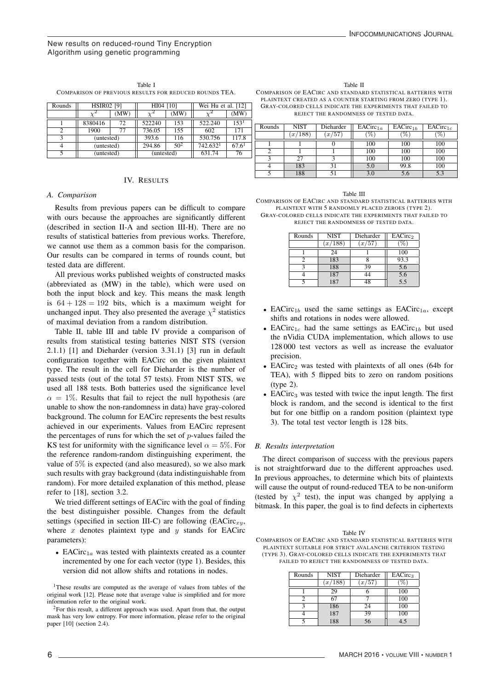# New results on reduced-round Tiny Encryption Algorithm using genetic programming

| Table I                                                |
|--------------------------------------------------------|
| COMPARISON OF PREVIOUS RESULTS FOR REDUCED ROUNDS TEA. |

| Rounds | <b>HSIR02 [9]</b> |      | HI04 [10]  |                 | Wei Hu et al. $[12]$ |       |
|--------|-------------------|------|------------|-----------------|----------------------|-------|
|        |                   | (MW) |            | (MW)            |                      | (MW)  |
|        | 8380416           | 72   | 522240     | 153             | 522.240              | 153   |
|        | 1900              | 77   | 736.05     | 155             | 602                  | 171   |
|        | (untested)        |      | 393.6      | 116             | 530.756              | 117.8 |
|        | (untested)        |      | 294.86     | 50 <sup>2</sup> | 742.632 <sup>1</sup> | 67.6' |
|        | (untested)        |      | (untested) |                 | 631.74               | 76    |

# IV. RESULTS

#### *A. Comparison*

Results from previous papers can be difficult to compare with ours because the approaches are significantly different (described in section II-A and section III-H). There are no results of statistical batteries from previous works. Therefore, we cannot use them as a common basis for the comparison. Our results can be compared in terms of rounds count, but tested data are different.

All previous works published weights of constructed masks (abbreviated as (MW) in the table), which were used on both the input block and key. This means the mask length is  $64 + 128 = 192$  bits, which is a maximum weight for unchanged input. They also presented the average  $\chi^2$  statistics of maximal deviation from a random distribution.

Table II, table III and table IV provide a comparison of results from statistical testing batteries NIST STS (version 2.1.1) [1] and Dieharder (version 3.31.1) [3] run in default configuration together with EACirc on the given plaintext type. The result in the cell for Dieharder is the number of passed tests (out of the total 57 tests). From NIST STS, we used all 188 tests. Both batteries used the significance level  $\alpha = 1\%$ . Results that fail to reject the null hypothesis (are unable to show the non-randomness in data) have gray-colored background. The column for EACirc represents the best results achieved in our experiments. Values from EACirc represent the percentages of runs for which the set of  $p$ -values failed the KS test for uniformity with the significance level  $\alpha = 5\%$ . For the reference random-random distinguishing experiment, the value of 5% is expected (and also measured), so we also mark such results with gray background (data indistinguishable from random). For more detailed explanation of this method, please refer to [18], section 3.2.

We tried different settings of EACirc with the goal of finding the best distinguisher possible. Changes from the default settings (specified in section III-C) are following  $(EACirc_{x,y}$ , where  $x$  denotes plaintext type and  $y$  stands for EACirc parameters):

• EACirc<sub>1a</sub> was tested with plaintexts created as a counter incremented by one for each vector (type 1). Besides, this version did not allow shifts and rotations in nodes.

<sup>1</sup>These results are computed as the average of values from tables of the original work [12]. Please note that average value is simplified and for more information refer to the original work.

 $2$ For this result, a different approach was used. Apart from that, the output mask has very low entropy. For more information, please refer to the original paper [10] (section 2.4).

Table II COMPARISON OF EACIRC AND STANDARD STATISTICAL BATTERIES WITH PLAINTEXT CREATED AS A COUNTER STARTING FROM ZERO (TYPE 1). GRAY-COLORED CELLS INDICATE THE EXPERIMENTS THAT FAILED TO REJECT THE RANDOMNESS OF TESTED DATA.

| Rounds | <b>NIST</b> | Dieharder | EACirc <sub>1a</sub> | EACirc <sub>1b</sub> | EACirc <sub>1c</sub> |
|--------|-------------|-----------|----------------------|----------------------|----------------------|
|        | x/188       | x/57      | $\%$ .               | %                    | %                    |
|        |             |           | 100                  | 100                  | 100                  |
|        |             |           | 100                  | 100                  | 100                  |
|        | 27          |           | 100                  | 100                  | 100                  |
|        | 183         |           | 5.0                  | 99.8                 | 100                  |
|        | 188         |           |                      |                      |                      |

| Table III                                                    |
|--------------------------------------------------------------|
| COMPARISON OF EACIRC AND STANDARD STATISTICAL BATTERIES WITH |
| PLAINTEXT WITH 5 RANDOMLY PLACED ZEROES (TYPE 2).            |
| GRAY-COLORED CELLS INDICATE THE EXPERIMENTS THAT FAILED TO   |
| REJECT THE RANDOMNESS OF TESTED DATA.                        |

| Rounds         | NIST    | Dieharder | EACirc <sub>2</sub> |
|----------------|---------|-----------|---------------------|
|                | (x/188) | (x/57)    |                     |
|                | 24      |           | 100                 |
|                | 183     |           | 93.3                |
| $\overline{a}$ | 188     | 39        | 5.6                 |
|                | 187     | 44        | 5.6                 |
|                |         | 18        | 5.5                 |

- EACirc<sub>1b</sub> used the same settings as EACirc<sub>1a</sub>, except shifts and rotations in nodes were allowed.
- EACirc<sub>1c</sub> had the same settings as EACirc<sub>1b</sub> but used the nVidia CUDA implementation, which allows to use 128 000 test vectors as well as increase the evaluator precision.
- EACirc<sub>2</sub> was tested with plaintexts of all ones (64b for TEA), with 5 flipped bits to zero on random positions (type 2).
- EACirc<sub>3</sub> was tested with twice the input length. The first block is random, and the second is identical to the first but for one bitflip on a random position (plaintext type 3). The total test vector length is 128 bits.

# *B. Results interpretation*

The direct comparison of success with the previous papers is not straightforward due to the different approaches used. In previous approaches, to determine which bits of plaintexts will cause the output of round-reduced TEA to be non-uniform (tested by  $\chi^2$  test), the input was changed by applying a bitmask. In this paper, the goal is to find defects in ciphertexts

| Table IV                                                     |
|--------------------------------------------------------------|
| COMPARISON OF EACIRC AND STANDARD STATISTICAL BATTERIES WITH |
| PLAINTEXT SUITABLE FOR STRICT AVALANCHE CRITERION TESTING    |
| (TYPE 3). GRAY-COLORED CELLS INDICATE THE EXPERIMENTS THAT   |
| FAILED TO REJECT THE RANDOMNESS OF TESTED DATA.              |
|                                                              |

| Rounds | <b>NIST</b> | Dieharder | EACirc <sub>3</sub> |
|--------|-------------|-----------|---------------------|
|        | x/188       | x/57      |                     |
|        | 29          |           | 100                 |
|        | 67          |           | 100                 |
|        | 186         | 24        | 100                 |
|        | 187         | 39        | 100                 |
|        | 188         | 56        |                     |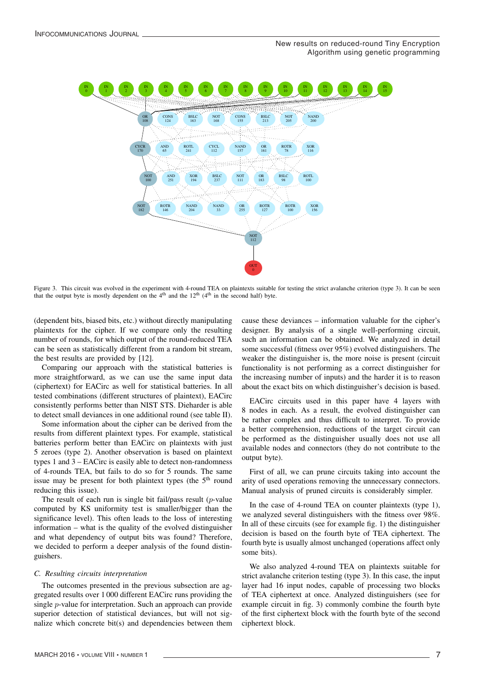

Figure 3. This circuit was evolved in the experiment with 4-round TEA on plaintexts suitable for testing the strict avalanche criterion (type 3). It can be seen that the output byte is mostly dependent on the  $4<sup>th</sup>$  and the  $12<sup>th</sup>$  ( $4<sup>th</sup>$  in the second half) byte.

(dependent bits, biased bits, etc.) without directly manipulating plaintexts for the cipher. If we compare only the resulting number of rounds, for which output of the round-reduced TEA can be seen as statistically different from a random bit stream, the best results are provided by [12].

Comparing our approach with the statistical batteries is more straightforward, as we can use the same input data (ciphertext) for EACirc as well for statistical batteries. In all tested combinations (different structures of plaintext), EACirc consistently performs better than NIST STS. Dieharder is able to detect small deviances in one additional round (see table II).

Some information about the cipher can be derived from the results from different plaintext types. For example, statistical batteries perform better than EACirc on plaintexts with just 5 zeroes (type 2). Another observation is based on plaintext types 1 and 3 – EACirc is easily able to detect non-randomness of 4-rounds TEA, but fails to do so for 5 rounds. The same issue may be present for both plaintext types (the  $5<sup>th</sup>$  round reducing this issue).

The result of each run is single bit fail/pass result  $(p$ -value computed by KS uniformity test is smaller/bigger than the significance level). This often leads to the loss of interesting information – what is the quality of the evolved distinguisher and what dependency of output bits was found? Therefore, we decided to perform a deeper analysis of the found distinguishers.

#### *C. Resulting circuits interpretation*

The outcomes presented in the previous subsection are aggregated results over 1 000 different EACirc runs providing the single p-value for interpretation. Such an approach can provide superior detection of statistical deviances, but will not signalize which concrete bit(s) and dependencies between them cause these deviances – information valuable for the cipher's designer. By analysis of a single well-performing circuit, such an information can be obtained. We analyzed in detail some successful (fitness over 95%) evolved distinguishers. The weaker the distinguisher is, the more noise is present (circuit functionality is not performing as a correct distinguisher for the increasing number of inputs) and the harder it is to reason about the exact bits on which distinguisher's decision is based.

EACirc circuits used in this paper have 4 layers with 8 nodes in each. As a result, the evolved distinguisher can be rather complex and thus difficult to interpret. To provide a better comprehension, reductions of the target circuit can be performed as the distinguisher usually does not use all available nodes and connectors (they do not contribute to the output byte).

First of all, we can prune circuits taking into account the arity of used operations removing the unnecessary connectors. Manual analysis of pruned circuits is considerably simpler.

In the case of 4-round TEA on counter plaintexts (type 1), we analyzed several distinguishers with the fitness over 98%. In all of these circuits (see for example fig. 1) the distinguisher decision is based on the fourth byte of TEA ciphertext. The fourth byte is usually almost unchanged (operations affect only some bits).

We also analyzed 4-round TEA on plaintexts suitable for strict avalanche criterion testing (type 3). In this case, the input layer had 16 input nodes, capable of processing two blocks of TEA ciphertext at once. Analyzed distinguishers (see for example circuit in fig. 3) commonly combine the fourth byte of the first ciphertext block with the fourth byte of the second ciphertext block.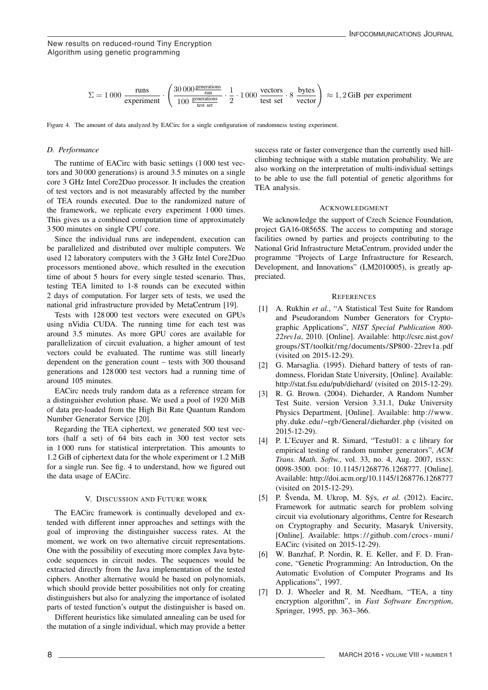New results on reduced-round Tiny Encryption Algorithm using genetic programming

$$
\Sigma = 1000 \frac{\text{runs}}{\text{experiment}} \cdot \left(\frac{30000 \frac{\text{generations}}{\text{runations}}}{100 \frac{\text{generations}}{\text{test set}}} \cdot \frac{1}{2} \cdot 1000 \frac{\text{vectors}}{\text{test set}} \cdot 8 \frac{\text{bytes}}{\text{vector}}\right) \approx 1,2 \text{GiB per experiment}
$$

Figure 4. The amount of data analyzed by EACirc for a single configuration of randomness testing experiment.

#### *D. Performance*

The runtime of EACirc with basic settings (1 000 test vectors and 30 000 generations) is around 3.5 minutes on a single core 3 GHz Intel Core2Duo processor. It includes the creation of test vectors and is not measurably affected by the number of TEA rounds executed. Due to the randomized nature of the framework, we replicate every experiment 1 000 times. This gives us a combined computation time of approximately 3 500 minutes on single CPU core.

Since the individual runs are independent, execution can be parallelized and distributed over multiple computers. We used 12 laboratory computers with the 3 GHz Intel Core2Duo processors mentioned above, which resulted in the execution time of about 5 hours for every single tested scenario. Thus, testing TEA limited to 1-8 rounds can be executed within 2 days of computation. For larger sets of tests, we used the national grid infrastructure provided by MetaCentrum [19].

Tests with 128 000 test vectors were executed on GPUs using nVidia CUDA. The running time for each test was around 3.5 minutes. As more GPU cores are available for parallelization of circuit evaluation, a higher amount of test vectors could be evaluated. The runtime was still linearly dependent on the generation count – tests with 300 thousand generations and 128 000 test vectors had a running time of around 105 minutes.

EACirc needs truly random data as a reference stream for a distinguisher evolution phase. We used a pool of 1920 MiB of data pre-loaded from the High Bit Rate Quantum Random Number Generator Service [20].

Regarding the TEA ciphertext, we generated 500 test vectors (half a set) of 64 bits each in 300 test vector sets in 1 000 runs for statistical interpretation. This amounts to 1.2 GiB of ciphertext data for the whole experiment or 1.2 MiB for a single run. See fig. 4 to understand, how we figured out the data usage of EACirc.

#### V. DISCUSSION AND FUTURE WORK

The EACirc framework is continually developed and extended with different inner approaches and settings with the goal of improving the distinguisher success rates. At the moment, we work on two alternative circuit representations. One with the possibility of executing more complex Java bytecode sequences in circuit nodes. The sequences would be extracted directly from the Java implementation of the tested ciphers. Another alternative would be based on polynomials, which should provide better possibilities not only for creating distinguishers but also for analyzing the importance of isolated parts of tested function's output the distinguisher is based on.

Different heuristics like simulated annealing can be used for the mutation of a single individual, which may provide a better

success rate or faster convergence than the currently used hillclimbing technique with a stable mutation probability. We are also working on the interpretation of multi-individual settings to be able to use the full potential of genetic algorithms for TEA analysis.

#### ACKNOWLEDGMENT

We acknowledge the support of Czech Science Foundation, project GA16-08565S. The access to computing and storage facilities owned by parties and projects contributing to the National Grid Infrastructure MetaCentrum, provided under the programme "Projects of Large Infrastructure for Research, Development, and Innovations" (LM2010005), is greatly appreciated.

#### **REFERENCES**

- [1] A. Rukhin *et al.*, "A Statistical Test Suite for Random and Pseudorandom Number Generators for Cryptographic Applications", *NIST Special Publication 800- 22rev1a*, 2010. [Online]. Available: http://csrc.nist.gov/ groups/ST/toolkit/ rng/documents/SP800 - 22rev1a.pdf (visited on 2015-12-29).
- [2] G. Marsaglia. (1995). Diehard battery of tests of randomness, Floridan State University, [Online]. Available: http://stat.fsu.edu/pub/diehard/ (visited on 2015-12-29).
- [3] R. G. Brown. (2004). Dieharder, A Random Number Test Suite. version Version 3.31.1, Duke University Physics Department, [Online]. Available: http://www. phy.duke.edu/~rgb/General/dieharder.php (visited on 2015-12-29).
- [4] P. L'Ecuyer and R. Simard, "Testu01: a c library for empirical testing of random number generators", *ACM Trans. Math. Softw.*, vol. 33, no. 4, Aug. 2007, ISSN: 0098-3500. DOI: 10.1145/1268776.1268777. [Online]. Available: http://doi.acm.org/10.1145/1268776.1268777 (visited on 2015-12-29).
- [5] P. Švenda, M. Ukrop, M. Sýs, *et al.* (2012). Eacirc, Framework for autmatic search for problem solving circuit via evolutionary algorithms, Centre for Research on Cryptography and Security, Masaryk University, [Online]. Available: https:// github. com/ crocs - muni/ EACirc (visited on 2015-12-29).
- [6] W. Banzhaf, P. Nordin, R. E. Keller, and F. D. Francone, "Genetic Programming: An Introduction, On the Automatic Evolution of Computer Programs and Its Applications", 1997.
- [7] D. J. Wheeler and R. M. Needham, "TEA, a tiny encryption algorithm", in *Fast Software Encryption*, Springer, 1995, pp. 363–366.